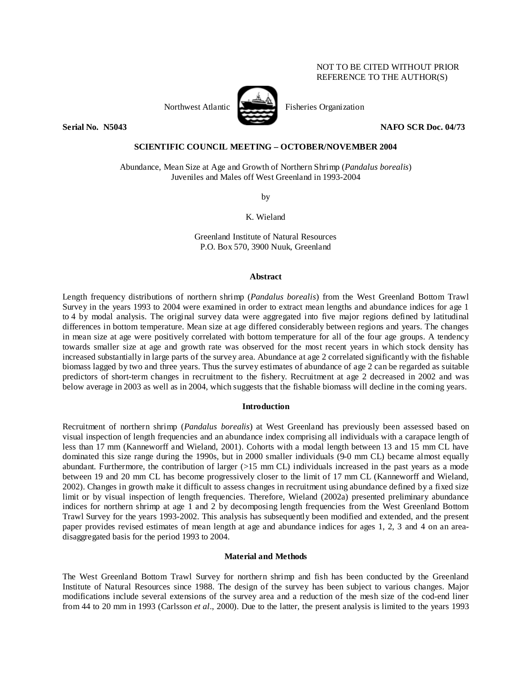# NOT TO BE CITED WITHOUT PRIOR REFERENCE TO THE AUTHOR(S)



Northwest Atlantic **No. 1989** Fisheries Organization

**Serial No. N5043** NAFO SCR Doc. 04/73

## **SCIENTIFIC COUNCIL MEETING – OCTOBER/NOVEMBER 2004**

Abundance, Mean Size at Age and Growth of Northern Shrimp (*Pandalus borealis*) Juveniles and Males off West Greenland in 1993-2004

by

K. Wieland

Greenland Institute of Natural Resources P.O. Box 570, 3900 Nuuk, Greenland

#### **Abstract**

Length frequency distributions of northern shrimp (*Pandalus borealis*) from the West Greenland Bottom Trawl Survey in the years 1993 to 2004 were examined in order to extract mean lengths and abundance indices for age 1 to 4 by modal analysis. The original survey data were aggregated into five major regions defined by latitudinal differences in bottom temperature. Mean size at age differed considerably between regions and years. The changes in mean size at age were positively correlated with bottom temperature for all of the four age groups. A tendency towards smaller size at age and growth rate was observed for the most recent years in which stock density has increased substantially in large parts of the survey area. Abundance at age 2 correlated significantly with the fishable biomass lagged by two and three years. Thus the survey estimates of abundance of age 2 can be regarded as suitable predictors of short-term changes in recruitment to the fishery. Recruitment at age 2 decreased in 2002 and was below average in 2003 as well as in 2004, which suggests that the fishable biomass will decline in the coming years.

# **Introduction**

Recruitment of northern shrimp (*Pandalus borealis*) at West Greenland has previously been assessed based on visual inspection of length frequencies and an abundance index comprising all individuals with a carapace length of less than 17 mm (Kanneworff and Wieland, 2001). Cohorts with a modal length between 13 and 15 mm CL have dominated this size range during the 1990s, but in 2000 smaller individuals (9-0 mm CL) became almost equally abundant. Furthermore, the contribution of larger (>15 mm CL) individuals increased in the past years as a mode between 19 and 20 mm CL has become progressively closer to the limit of 17 mm CL (Kanneworff and Wieland, 2002). Changes in growth make it difficult to assess changes in recruitment using abundance defined by a fixed size limit or by visual inspection of length frequencies. Therefore, Wieland (2002a) presented preliminary abundance indices for northern shrimp at age 1 and 2 by decomposing length frequencies from the West Greenland Bottom Trawl Survey for the years 1993-2002. This analysis has subsequently been modified and extended, and the present paper provides revised estimates of mean length at age and abundance indices for ages 1, 2, 3 and 4 on an areadisaggregated basis for the period 1993 to 2004.

## **Material and Methods**

The West Greenland Bottom Trawl Survey for northern shrimp and fish has been conducted by the Greenland Institute of Natural Resources since 1988. The design of the survey has been subject to various changes. Major modifications include several extensions of the survey area and a reduction of the mesh size of the cod-end liner from 44 to 20 mm in 1993 (Carlsson *et al*., 2000). Due to the latter, the present analysis is limited to the years 1993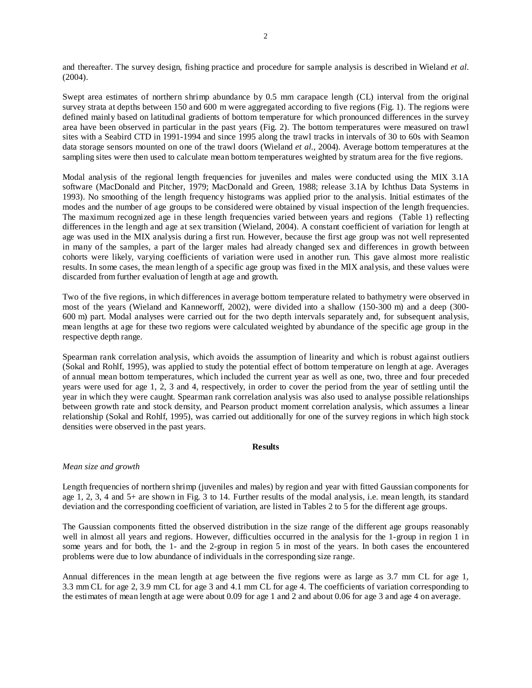and thereafter. The survey design, fishing practice and procedure for sample analysis is described in Wieland *et al.* (2004).

Swept area estimates of northern shrimp abundance by 0.5 mm carapace length (CL) interval from the original survey strata at depths between 150 and 600 m were aggregated according to five regions (Fig. 1). The regions were defined mainly based on latitudinal gradients of bottom temperature for which pronounced differences in the survey area have been observed in particular in the past years (Fig. 2). The bottom temperatures were measured on trawl sites with a Seabird CTD in 1991-1994 and since 1995 along the trawl tracks in intervals of 30 to 60s with Seamon data storage sensors mounted on one of the trawl doors (Wieland *et al.*, 2004). Average bottom temperatures at the sampling sites were then used to calculate mean bottom temperatures weighted by stratum area for the five regions.

Modal analysis of the regional length frequencies for juveniles and males were conducted using the MIX 3.1A software (MacDonald and Pitcher, 1979; MacDonald and Green, 1988; release 3.1A by Ichthus Data Systems in 1993). No smoothing of the length frequency histograms was applied prior to the analysis. Initial estimates of the modes and the number of age groups to be considered were obtained by visual inspection of the length frequencies. The maximum recognized age in these length frequencies varied between years and regions (Table 1) reflecting differences in the length and age at sex transition (Wieland, 2004). A constant coefficient of variation for length at age was used in the MIX analysis during a first run. However, because the first age group was not well represented in many of the samples, a part of the larger males had already changed sex and differences in growth between cohorts were likely, varying coefficients of variation were used in another run. This gave almost more realistic results. In some cases, the mean length of a specific age group was fixed in the MIX analysis, and these values were discarded from further evaluation of length at age and growth.

Two of the five regions, in which differences in average bottom temperature related to bathymetry were observed in most of the years (Wieland and Kanneworff, 2002), were divided into a shallow (150-300 m) and a deep (300- 600 m) part. Modal analyses were carried out for the two depth intervals separately and, for subsequent analysis, mean lengths at age for these two regions were calculated weighted by abundance of the specific age group in the respective depth range.

Spearman rank correlation analysis, which avoids the assumption of linearity and which is robust against outliers (Sokal and Rohlf, 1995), was applied to study the potential effect of bottom temperature on length at age. Averages of annual mean bottom temperatures, which included the current year as well as one, two, three and four preceded years were used for age 1, 2, 3 and 4, respectively, in order to cover the period from the year of settling until the year in which they were caught. Spearman rank correlation analysis was also used to analyse possible relationships between growth rate and stock density, and Pearson product moment correlation analysis, which assumes a linear relationship (Sokal and Rohlf, 1995), was carried out additionally for one of the survey regions in which high stock densities were observed in the past years.

## **Results**

## *Mean size and growth*

Length frequencies of northern shrimp (juveniles and males) by region and year with fitted Gaussian components for age 1, 2, 3, 4 and 5+ are shown in Fig. 3 to 14. Further results of the modal analysis, i.e. mean length, its standard deviation and the corresponding coefficient of variation, are listed in Tables 2 to 5 for the different age groups.

The Gaussian components fitted the observed distribution in the size range of the different age groups reasonably well in almost all years and regions. However, difficulties occurred in the analysis for the 1-group in region 1 in some years and for both, the 1- and the 2-group in region 5 in most of the years. In both cases the encountered problems were due to low abundance of individuals in the corresponding size range.

Annual differences in the mean length at age between the five regions were as large as 3.7 mm CL for age 1, 3.3 mm CL for age 2, 3.9 mm CL for age 3 and 4.1 mm CL for age 4. The coefficients of variation corresponding to the estimates of mean length at age were about 0.09 for age 1 and 2 and about 0.06 for age 3 and age 4 on average.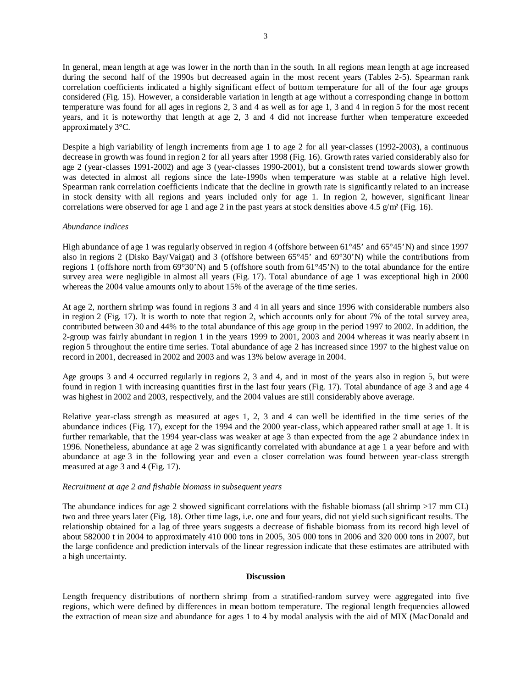In general, mean length at age was lower in the north than in the south. In all regions mean length at age increased during the second half of the 1990s but decreased again in the most recent years (Tables 2-5). Spearman rank correlation coefficients indicated a highly significant effect of bottom temperature for all of the four age groups considered (Fig. 15). However, a considerable variation in length at age without a corresponding change in bottom temperature was found for all ages in regions 2, 3 and 4 as well as for age 1, 3 and 4 in region 5 for the most recent years, and it is noteworthy that length at age 2, 3 and 4 did not increase further when temperature exceeded approximately 3°C.

Despite a high variability of length increments from age 1 to age 2 for all year-classes (1992-2003), a continuous decrease in growth was found in region 2 for all years after 1998 (Fig. 16). Growth rates varied considerably also for age 2 (year-classes 1991-2002) and age 3 (year-classes 1990-2001), but a consistent trend towards slower growth was detected in almost all regions since the late-1990s when temperature was stable at a relative high level. Spearman rank correlation coefficients indicate that the decline in growth rate is significantly related to an increase in stock density with all regions and years included only for age 1. In region 2, however, significant linear correlations were observed for age 1 and age 2 in the past years at stock densities above 4.5  $g/m^2$  (Fig. 16).

#### *Abundance indices*

High abundance of age 1 was regularly observed in region 4 (offshore between 61°45' and 65°45'N) and since 1997 also in regions 2 (Disko Bay/Vaigat) and 3 (offshore between 65°45' and 69°30'N) while the contributions from regions 1 (offshore north from 69°30'N) and 5 (offshore south from 61°45'N) to the total abundance for the entire survey area were negligible in almost all years (Fig. 17). Total abundance of age 1 was exceptional high in 2000 whereas the 2004 value amounts only to about 15% of the average of the time series.

At age 2, northern shrimp was found in regions 3 and 4 in all years and since 1996 with considerable numbers also in region 2 (Fig. 17). It is worth to note that region 2, which accounts only for about 7% of the total survey area, contributed between 30 and 44% to the total abundance of this age group in the period 1997 to 2002. In addition, the 2-group was fairly abundant in region 1 in the years 1999 to 2001, 2003 and 2004 whereas it was nearly absent in region 5 throughout the entire time series. Total abundance of age 2 has increased since 1997 to the highest value on record in 2001, decreased in 2002 and 2003 and was 13% below average in 2004.

Age groups 3 and 4 occurred regularly in regions 2, 3 and 4, and in most of the years also in region 5, but were found in region 1 with increasing quantities first in the last four years (Fig. 17). Total abundance of age 3 and age 4 was highest in 2002 and 2003, respectively, and the 2004 values are still considerably above average.

Relative year-class strength as measured at ages 1, 2, 3 and 4 can well be identified in the time series of the abundance indices (Fig. 17), except for the 1994 and the 2000 year-class, which appeared rather small at age 1. It is further remarkable, that the 1994 year-class was weaker at age 3 than expected from the age 2 abundance index in 1996. Nonetheless, abundance at age 2 was significantly correlated with abundance at age 1 a year before and with abundance at age 3 in the following year and even a closer correlation was found between year-class strength measured at age 3 and 4 (Fig. 17).

## *Recruitment at age 2 and fishable biomass in subsequent years*

The abundance indices for age 2 showed significant correlations with the fishable biomass (all shrimp >17 mm CL) two and three years later (Fig. 18). Other time lags, i.e. one and four years, did not yield such significant results. The relationship obtained for a lag of three years suggests a decrease of fishable biomass from its record high level of about 582000 t in 2004 to approximately 410 000 tons in 2005, 305 000 tons in 2006 and 320 000 tons in 2007, but the large confidence and prediction intervals of the linear regression indicate that these estimates are attributed with a high uncertainty.

#### **Discussion**

Length frequency distributions of northern shrimp from a stratified-random survey were aggregated into five regions, which were defined by differences in mean bottom temperature. The regional length frequencies allowed the extraction of mean size and abundance for ages 1 to 4 by modal analysis with the aid of MIX (MacDonald and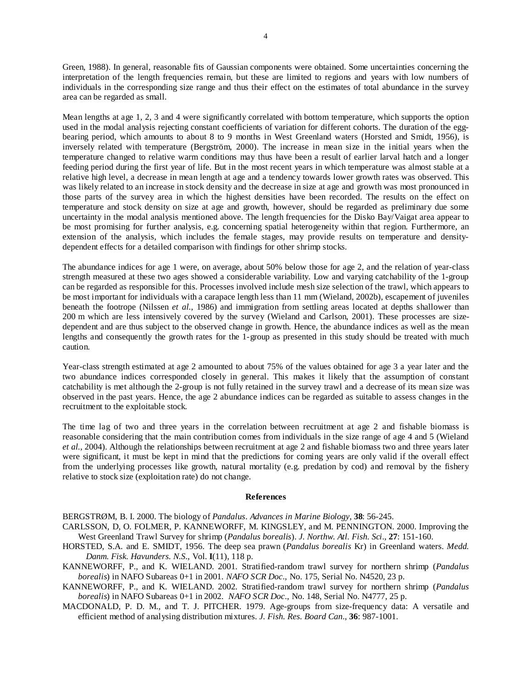Green, 1988). In general, reasonable fits of Gaussian components were obtained. Some uncertainties concerning the interpretation of the length frequencies remain, but these are limited to regions and years with low numbers of individuals in the corresponding size range and thus their effect on the estimates of total abundance in the survey area can be regarded as small.

Mean lengths at age 1, 2, 3 and 4 were significantly correlated with bottom temperature, which supports the option used in the modal analysis rejecting constant coefficients of variation for different cohorts. The duration of the eggbearing period, which amounts to about 8 to 9 months in West Greenland waters (Horsted and Smidt, 1956), is inversely related with temperature (Bergström, 2000). The increase in mean size in the initial years when the temperature changed to relative warm conditions may thus have been a result of earlier larval hatch and a longer feeding period during the first year of life. But in the most recent years in which temperature was almost stable at a relative high level, a decrease in mean length at age and a tendency towards lower growth rates was observed. This was likely related to an increase in stock density and the decrease in size at age and growth was most pronounced in those parts of the survey area in which the highest densities have been recorded. The results on the effect on temperature and stock density on size at age and growth, however, should be regarded as preliminary due some uncertainty in the modal analysis mentioned above. The length frequencies for the Disko Bay/Vaigat area appear to be most promising for further analysis, e.g. concerning spatial heterogeneity within that region. Furthermore, an extension of the analysis, which includes the female stages, may provide results on temperature and densitydependent effects for a detailed comparison with findings for other shrimp stocks.

The abundance indices for age 1 were, on average, about 50% below those for age 2, and the relation of year-class strength measured at these two ages showed a considerable variability. Low and varying catchability of the 1-group can be regarded as responsible for this. Processes involved include mesh size selection of the trawl, which appears to be most important for individuals with a carapace length less than 11 mm (Wieland, 2002b), escapement of juveniles beneath the footrope (Nilssen *et al.*, 1986) and immigration from settling areas located at depths shallower than 200 m which are less intensively covered by the survey (Wieland and Carlson, 2001). These processes are sizedependent and are thus subject to the observed change in growth. Hence, the abundance indices as well as the mean lengths and consequently the growth rates for the 1-group as presented in this study should be treated with much caution.

Year-class strength estimated at age 2 amounted to about 75% of the values obtained for age 3 a year later and the two abundance indices corresponded closely in general. This makes it likely that the assumption of constant catchability is met although the 2-group is not fully retained in the survey trawl and a decrease of its mean size was observed in the past years. Hence, the age 2 abundance indices can be regarded as suitable to assess changes in the recruitment to the exploitable stock.

The time lag of two and three years in the correlation between recruitment at age 2 and fishable biomass is reasonable considering that the main contribution comes from individuals in the size range of age 4 and 5 (Wieland *et al.*, 2004). Although the relationships between recruitment at age 2 and fishable biomass two and three years later were significant, it must be kept in mind that the predictions for coming years are only valid if the overall effect from the underlying processes like growth, natural mortality (e.g. predation by cod) and removal by the fishery relative to stock size (exploitation rate) do not change.

#### **References**

BERGSTRØM, B. I. 2000. The biology of *Pandalus*. *Advances in Marine Biology*, **38**: 56-245.

- CARLSSON, D, O. FOLMER, P. KANNEWORFF, M. KINGSLEY, and M. PENNINGTON. 2000. Improving the West Greenland Trawl Survey for shrimp (*Pandalus borealis*). *J. Northw. Atl. Fish. Sci*., **27**: 151-160.
- HORSTED, S.A. and E. SMIDT, 1956. The deep sea prawn (*Pandalus borealis* Kr) in Greenland waters. *Medd. Danm. Fisk. Havunders. N.S*., Vol. **I**(11), 118 p.
- KANNEWORFF, P., and K. WIELAND. 2001. Stratified-random trawl survey for northern shrimp (*Pandalus borealis*) in NAFO Subareas 0+1 in 2001. *NAFO SCR Doc*., No. 175, Serial No. N4520, 23 p.
- KANNEWORFF, P., and K. WIELAND. 2002. Stratified-random trawl survey for northern shrimp (*Pandalus borealis*) in NAFO Subareas 0+1 in 2002. *NAFO SCR Doc*., No. 148, Serial No. N4777, 25 p.
- MACDONALD, P. D. M., and T. J. PITCHER. 1979. Age-groups from size-frequency data: A versatile and efficient method of analysing distribution mixtures. *J. Fish. Res. Board Can*., **36**: 987-1001.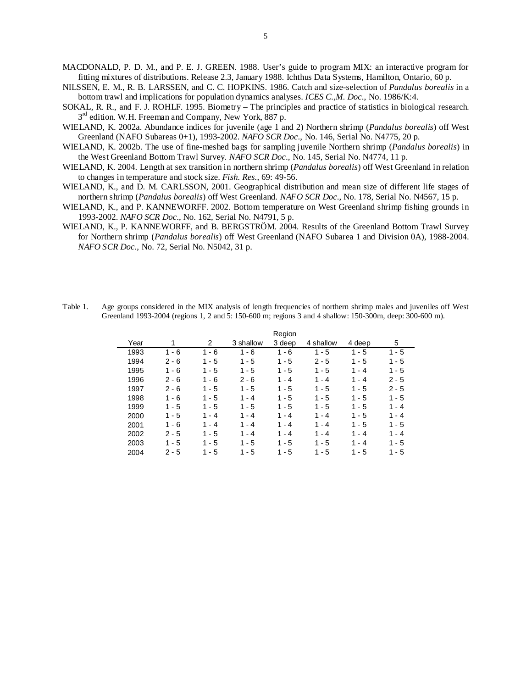MACDONALD, P. D. M., and P. E. J. GREEN. 1988. User's guide to program MIX: an interactive program for fitting mixtures of distributions. Release 2.3, January 1988. Ichthus Data Systems, Hamilton, Ontario, 60 p.

- NILSSEN, E. M., R. B. LARSSEN, and C. C. HOPKINS. 1986. Catch and size-selection of *Pandalus borealis* in a bottom trawl and implications for population dynamics analyses. *ICES C.,M. Doc*., No. 1986/K:4.
- SOKAL, R. R., and F. J. ROHLF. 1995. Biometry The principles and practice of statistics in biological research.  $3<sup>rd</sup>$  edition. W.H. Freeman and Company, New York, 887 p.
- WIELAND, K. 2002a. Abundance indices for juvenile (age 1 and 2) Northern shrimp (*Pandalus borealis*) off West Greenland (NAFO Subareas 0+1), 1993-2002. *NAFO SCR Doc*., No. 146, Serial No. N4775, 20 p.
- WIELAND, K. 2002b. The use of fine-meshed bags for sampling juvenile Northern shrimp (*Pandalus borealis*) in the West Greenland Bottom Trawl Survey. *NAFO SCR Doc*., No. 145, Serial No. N4774, 11 p.
- WIELAND, K. 2004. Length at sex transition in northern shrimp (*Pandalus borealis*) off West Greenland in relation to changes in temperature and stock size. *Fish. Res.*, 69: 49-56.
- WIELAND, K., and D. M. CARLSSON, 2001. Geographical distribution and mean size of different life stages of northern shrimp (*Pandalus borealis*) off West Greenland. *NAFO SCR Doc*., No. 178, Serial No. N4567, 15 p.
- WIELAND, K., and P. KANNEWORFF. 2002. Bottom temperature on West Greenland shrimp fishing grounds in 1993-2002. *NAFO SCR Doc*., No. 162, Serial No. N4791, 5 p.
- WIELAND, K., P. KANNEWORFF, and B. BERGSTRÖM. 2004. Results of the Greenland Bottom Trawl Survey for Northern shrimp (*Pandalus borealis*) off West Greenland (NAFO Subarea 1 and Division 0A), 1988-2004. *NAFO SCR Doc*., No. 72, Serial No. N5042, 31 p.

|      |         |         |           | Region  |           |         |         |
|------|---------|---------|-----------|---------|-----------|---------|---------|
| Year |         | 2       | 3 shallow | 3 deep  | 4 shallow | 4 deep  | 5       |
| 1993 | $1 - 6$ | $1 - 6$ | $1 - 6$   | $1 - 6$ | $1 - 5$   | $1 - 5$ | $1 - 5$ |
| 1994 | $2 - 6$ | $1 - 5$ | $1 - 5$   | $1 - 5$ | $2 - 5$   | $1 - 5$ | $1 - 5$ |
| 1995 | $1 - 6$ | $1 - 5$ | $1 - 5$   | $1 - 5$ | $1 - 5$   | $1 - 4$ | $1 - 5$ |
| 1996 | $2 - 6$ | $1 - 6$ | $2 - 6$   | $1 - 4$ | $1 - 4$   | $1 - 4$ | $2 - 5$ |
| 1997 | $2 - 6$ | $1 - 5$ | $1 - 5$   | $1 - 5$ | $1 - 5$   | $1 - 5$ | $2 - 5$ |
| 1998 | $1 - 6$ | $1 - 5$ | $1 - 4$   | $1 - 5$ | $1 - 5$   | $1 - 5$ | $1 - 5$ |
| 1999 | $1 - 5$ | $1 - 5$ | $1 - 5$   | $1 - 5$ | $1 - 5$   | $1 - 5$ | $1 - 4$ |
| 2000 | 1 - 5   | $1 - 4$ | $1 - 4$   | $1 - 4$ | $1 - 4$   | $1 - 5$ | $1 - 4$ |
| 2001 | $1 - 6$ | $1 - 4$ | $1 - 4$   | $1 - 4$ | $1 - 4$   | $1 - 5$ | $1 - 5$ |
| 2002 | $2 - 5$ | $1 - 5$ | $1 - 4$   | $1 - 4$ | $1 - 4$   | $1 - 4$ | $1 - 4$ |
| 2003 | $1 - 5$ | $1 - 5$ | $1 - 5$   | 1 - 5   | $1 - 5$   | $1 - 4$ | $1 - 5$ |
| 2004 | $2 - 5$ | $1 - 5$ | $1 - 5$   | $1 - 5$ | $1 - 5$   | $1 - 5$ | $1 - 5$ |

Table 1. Age groups considered in the MIX analysis of length frequencies of northern shrimp males and juveniles off West Greenland 1993-2004 (regions 1, 2 and 5: 150-600 m; regions 3 and 4 shallow: 150-300m, deep: 300-600 m).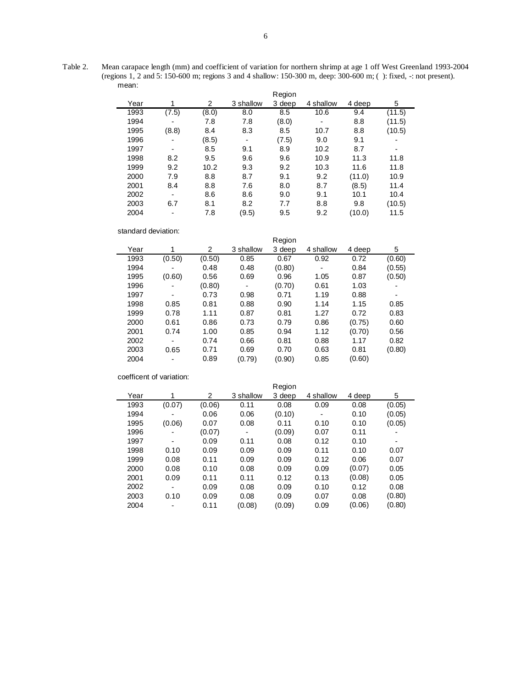|      |       |                |           | Region |                |        |        |
|------|-------|----------------|-----------|--------|----------------|--------|--------|
| Year | 1     | $\overline{2}$ | 3 shallow | 3 deep | 4 shallow      | 4 deep | 5      |
| 1993 | (7.5) | (8.0)          | 8.0       | 8.5    | 10.6           | 9.4    | (11.5) |
| 1994 | -     | 7.8            | 7.8       | (8.0)  | $\blacksquare$ | 8.8    | (11.5) |
| 1995 | (8.8) | 8.4            | 8.3       | 8.5    | 10.7           | 8.8    | (10.5) |
| 1996 | -     | (8.5)          | ۰         | (7.5)  | 9.0            | 9.1    |        |
| 1997 | -     | 8.5            | 9.1       | 8.9    | 10.2           | 8.7    |        |
| 1998 | 8.2   | 9.5            | 9.6       | 9.6    | 10.9           | 11.3   | 11.8   |
| 1999 | 9.2   | 10.2           | 9.3       | 9.2    | 10.3           | 11.6   | 11.8   |
| 2000 | 7.9   | 8.8            | 8.7       | 9.1    | 9.2            | (11.0) | 10.9   |
| 2001 | 8.4   | 8.8            | 7.6       | 8.0    | 8.7            | (8.5)  | 11.4   |
| 2002 | -     | 8.6            | 8.6       | 9.0    | 9.1            | 10.1   | 10.4   |
| 2003 | 6.7   | 8.1            | 8.2       | 7.7    | 8.8            | 9.8    | (10.5) |
| 2004 | -     | 7.8            | (9.5)     | 9.5    | 9.2            | (10.0) | 11.5   |

|      |        |        |           | Region |           |        |        |
|------|--------|--------|-----------|--------|-----------|--------|--------|
| Year | 1      | 2      | 3 shallow | 3 deep | 4 shallow | 4 deep | 5      |
| 1993 | (0.50) | (0.50) | 0.85      | 0.67   | 0.92      | 0.72   | (0.60) |
| 1994 |        | 0.48   | 0.48      | (0.80) |           | 0.84   | (0.55) |
| 1995 | (0.60) | 0.56   | 0.69      | 0.96   | 1.05      | 0.87   | (0.50) |
| 1996 | -      | (0.80) |           | (0.70) | 0.61      | 1.03   |        |
| 1997 | -      | 0.73   | 0.98      | 0.71   | 1.19      | 0.88   | -      |
| 1998 | 0.85   | 0.81   | 0.88      | 0.90   | 1.14      | 1.15   | 0.85   |
| 1999 | 0.78   | 1.11   | 0.87      | 0.81   | 1.27      | 0.72   | 0.83   |
| 2000 | 0.61   | 0.86   | 0.73      | 0.79   | 0.86      | (0.75) | 0.60   |
| 2001 | 0.74   | 1.00   | 0.85      | 0.94   | 1.12      | (0.70) | 0.56   |
| 2002 | -      | 0.74   | 0.66      | 0.81   | 0.88      | 1.17   | 0.82   |
| 2003 | 0.65   | 0.71   | 0.69      | 0.70   | 0.63      | 0.81   | (0.80) |
| 2004 | ۰      | 0.89   | (0.79)    | (0.90) | 0.85      | (0.60) |        |

|      |        |        |                          | Region |           |        |                |
|------|--------|--------|--------------------------|--------|-----------|--------|----------------|
| Year |        | 2      | 3 shallow                | 3 deep | 4 shallow | 4 deep | 5              |
| 1993 | (0.07) | (0.06) | 0.11                     | 0.08   | 0.09      | 0.08   | (0.05)         |
| 1994 |        | 0.06   | 0.06                     | (0.10) |           | 0.10   | (0.05)         |
| 1995 | (0.06) | 0.07   | 0.08                     | 0.11   | 0.10      | 0.10   | (0.05)         |
| 1996 | -      | (0.07) | $\overline{\phantom{a}}$ | (0.09) | 0.07      | 0.11   | -              |
| 1997 |        | 0.09   | 0.11                     | 0.08   | 0.12      | 0.10   | $\blacksquare$ |
| 1998 | 0.10   | 0.09   | 0.09                     | 0.09   | 0.11      | 0.10   | 0.07           |
| 1999 | 0.08   | 0.11   | 0.09                     | 0.09   | 0.12      | 0.06   | 0.07           |
| 2000 | 0.08   | 0.10   | 0.08                     | 0.09   | 0.09      | (0.07) | 0.05           |
| 2001 | 0.09   | 0.11   | 0.11                     | 0.12   | 0.13      | (0.08) | 0.05           |
| 2002 | -      | 0.09   | 0.08                     | 0.09   | 0.10      | 0.12   | 0.08           |
| 2003 | 0.10   | 0.09   | 0.08                     | 0.09   | 0.07      | 0.08   | (0.80)         |
| 2004 | -      | 0.11   | (0.08)                   | (0.09) | 0.09      | (0.06) | (0.80)         |
|      |        |        |                          |        |           |        |                |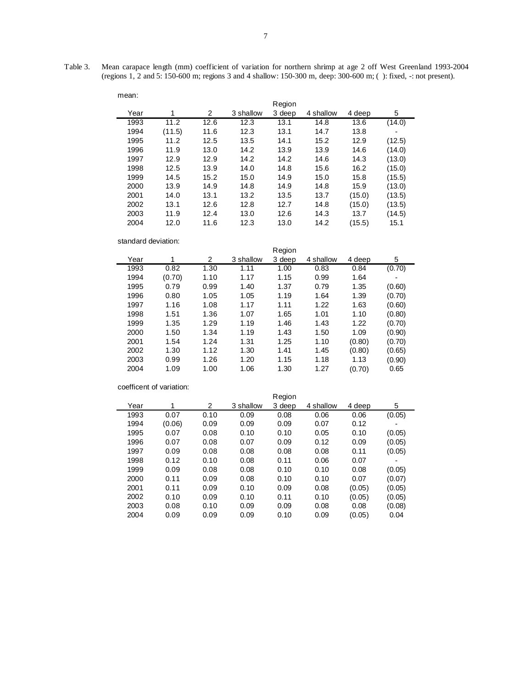Table 3. Mean carapace length (mm) coefficient of variation for northern shrimp at age 2 off West Greenland 1993-2004 (regions 1, 2 and 5: 150-600 m; regions 3 and 4 shallow: 150-300 m, deep: 300-600 m; ( ): fixed, -: not present).

| mean: |        |                |           |        |           |        |        |
|-------|--------|----------------|-----------|--------|-----------|--------|--------|
|       |        |                |           | Region |           |        |        |
| Year  | 1      | $\overline{2}$ | 3 shallow | 3 deep | 4 shallow | 4 deep | 5      |
| 1993  | 11.2   | 12.6           | 12.3      | 13.1   | 14.8      | 13.6   | (14.0) |
| 1994  | (11.5) | 11.6           | 12.3      | 13.1   | 14.7      | 13.8   |        |
| 1995  | 11.2   | 12.5           | 13.5      | 14.1   | 15.2      | 12.9   | (12.5) |
| 1996  | 11.9   | 13.0           | 14.2      | 13.9   | 13.9      | 14.6   | (14.0) |
| 1997  | 12.9   | 12.9           | 14.2      | 14.2   | 14.6      | 14.3   | (13.0) |
| 1998  | 12.5   | 13.9           | 14.0      | 14.8   | 15.6      | 16.2   | (15.0) |
| 1999  | 14.5   | 15.2           | 15.0      | 14.9   | 15.0      | 15.8   | (15.5) |
| 2000  | 13.9   | 14.9           | 14.8      | 14.9   | 14.8      | 15.9   | (13.0) |
| 2001  | 14.0   | 13.1           | 13.2      | 13.5   | 13.7      | (15.0) | (13.5) |
| 2002  | 13.1   | 12.6           | 12.8      | 12.7   | 14.8      | (15.0) | (13.5) |
| 2003  | 11.9   | 12.4           | 13.0      | 12.6   | 14.3      | 13.7   | (14.5) |
| 2004  | 12.0   | 11.6           | 12.3      | 13.0   | 14.2      | (15.5) | 15.1   |

|      |        |      |           | Region |           |        |        |
|------|--------|------|-----------|--------|-----------|--------|--------|
| Year | 1      | 2    | 3 shallow | 3 deep | 4 shallow | 4 deep | 5      |
| 1993 | 0.82   | 1.30 | 1.11      | 1.00   | 0.83      | 0.84   | (0.70) |
| 1994 | (0.70) | 1.10 | 1.17      | 1.15   | 0.99      | 1.64   |        |
| 1995 | 0.79   | 0.99 | 1.40      | 1.37   | 0.79      | 1.35   | (0.60) |
| 1996 | 0.80   | 1.05 | 1.05      | 1.19   | 1.64      | 1.39   | (0.70) |
| 1997 | 1.16   | 1.08 | 1.17      | 1.11   | 1.22      | 1.63   | (0.60) |
| 1998 | 1.51   | 1.36 | 1.07      | 1.65   | 1.01      | 1.10   | (0.80) |
| 1999 | 1.35   | 1.29 | 1.19      | 1.46   | 1.43      | 1.22   | (0.70) |
| 2000 | 1.50   | 1.34 | 1.19      | 1.43   | 1.50      | 1.09   | (0.90) |
| 2001 | 1.54   | 1.24 | 1.31      | 1.25   | 1.10      | (0.80) | (0.70) |
| 2002 | 1.30   | 1.12 | 1.30      | 1.41   | 1.45      | (0.80) | (0.65) |
| 2003 | 0.99   | 1.26 | 1.20      | 1.15   | 1.18      | 1.13   | (0.90) |
| 2004 | 1.09   | 1.00 | 1.06      | 1.30   | 1.27      | (0.70) | 0.65   |
|      |        |      |           |        |           |        |        |

|      |        |      |           | Region |           |        |        |
|------|--------|------|-----------|--------|-----------|--------|--------|
| Year | 1      | 2    | 3 shallow | 3 deep | 4 shallow | 4 deep | 5      |
| 1993 | 0.07   | 0.10 | 0.09      | 0.08   | 0.06      | 0.06   | (0.05) |
| 1994 | (0.06) | 0.09 | 0.09      | 0.09   | 0.07      | 0.12   |        |
| 1995 | 0.07   | 0.08 | 0.10      | 0.10   | 0.05      | 0.10   | (0.05) |
| 1996 | 0.07   | 0.08 | 0.07      | 0.09   | 0.12      | 0.09   | (0.05) |
| 1997 | 0.09   | 0.08 | 0.08      | 0.08   | 0.08      | 0.11   | (0.05) |
| 1998 | 0.12   | 0.10 | 0.08      | 0.11   | 0.06      | 0.07   | ۰      |
| 1999 | 0.09   | 0.08 | 0.08      | 0.10   | 0.10      | 0.08   | (0.05) |
| 2000 | 0.11   | 0.09 | 0.08      | 0.10   | 0.10      | 0.07   | (0.07) |
| 2001 | 0.11   | 0.09 | 0.10      | 0.09   | 0.08      | (0.05) | (0.05) |
| 2002 | 0.10   | 0.09 | 0.10      | 0.11   | 0.10      | (0.05) | (0.05) |
| 2003 | 0.08   | 0.10 | 0.09      | 0.09   | 0.08      | 0.08   | (0.08) |
| 2004 | 0.09   | 0.09 | 0.09      | 0.10   | 0.09      | (0.05) | 0.04   |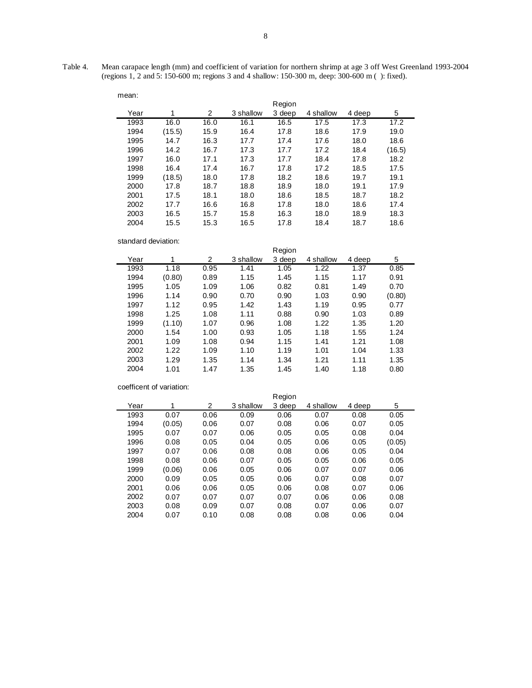Table 4. Mean carapace length (mm) and coefficient of variation for northern shrimp at age 3 off West Greenland 1993-2004 (regions 1, 2 and 5: 150-600 m; regions 3 and 4 shallow: 150-300 m, deep: 300-600 m ( ): fixed).

| mean: |        |      |           |        |           |        |        |
|-------|--------|------|-----------|--------|-----------|--------|--------|
|       |        |      |           | Region |           |        |        |
| Year  | 1      | 2    | 3 shallow | 3 deep | 4 shallow | 4 deep | 5      |
| 1993  | 16.0   | 16.0 | 16.1      | 16.5   | 17.5      | 17.3   | 17.2   |
| 1994  | (15.5) | 15.9 | 16.4      | 17.8   | 18.6      | 17.9   | 19.0   |
| 1995  | 14.7   | 16.3 | 17.7      | 17.4   | 17.6      | 18.0   | 18.6   |
| 1996  | 14.2   | 16.7 | 17.3      | 17.7   | 17.2      | 18.4   | (16.5) |
| 1997  | 16.0   | 17.1 | 17.3      | 17.7   | 18.4      | 17.8   | 18.2   |
| 1998  | 16.4   | 17.4 | 16.7      | 17.8   | 17.2      | 18.5   | 17.5   |
| 1999  | (18.5) | 18.0 | 17.8      | 18.2   | 18.6      | 19.7   | 19.1   |
| 2000  | 17.8   | 18.7 | 18.8      | 18.9   | 18.0      | 19.1   | 17.9   |
| 2001  | 17.5   | 18.1 | 18.0      | 18.6   | 18.5      | 18.7   | 18.2   |
| 2002  | 17.7   | 16.6 | 16.8      | 17.8   | 18.0      | 18.6   | 17.4   |
| 2003  | 16.5   | 15.7 | 15.8      | 16.3   | 18.0      | 18.9   | 18.3   |
| 2004  | 15.5   | 15.3 | 16.5      | 17.8   | 18.4      | 18.7   | 18.6   |

|      |        |                |           | Region |           |        |        |
|------|--------|----------------|-----------|--------|-----------|--------|--------|
| Year | 1      | $\overline{2}$ | 3 shallow | 3 deep | 4 shallow | 4 deep | 5      |
| 1993 | 1.18   | 0.95           | 1.41      | 1.05   | 1.22      | 1.37   | 0.85   |
| 1994 | (0.80) | 0.89           | 1.15      | 1.45   | 1.15      | 1.17   | 0.91   |
| 1995 | 1.05   | 1.09           | 1.06      | 0.82   | 0.81      | 1.49   | 0.70   |
| 1996 | 1.14   | 0.90           | 0.70      | 0.90   | 1.03      | 0.90   | (0.80) |
| 1997 | 1.12   | 0.95           | 1.42      | 1.43   | 1.19      | 0.95   | 0.77   |
| 1998 | 1.25   | 1.08           | 1.11      | 0.88   | 0.90      | 1.03   | 0.89   |
| 1999 | (1.10) | 1.07           | 0.96      | 1.08   | 1.22      | 1.35   | 1.20   |
| 2000 | 1.54   | 1.00           | 0.93      | 1.05   | 1.18      | 1.55   | 1.24   |
| 2001 | 1.09   | 1.08           | 0.94      | 1.15   | 1.41      | 1.21   | 1.08   |
| 2002 | 1.22   | 1.09           | 1.10      | 1.19   | 1.01      | 1.04   | 1.33   |
| 2003 | 1.29   | 1.35           | 1.14      | 1.34   | 1.21      | 1.11   | 1.35   |
| 2004 | 1.01   | 1.47           | 1.35      | 1.45   | 1.40      | 1.18   | 0.80   |
|      |        |                |           |        |           |        |        |

|      |        |      |           | Region |           |        |        |
|------|--------|------|-----------|--------|-----------|--------|--------|
| Year | 1      | 2    | 3 shallow | 3 deep | 4 shallow | 4 deep | 5      |
| 1993 | 0.07   | 0.06 | 0.09      | 0.06   | 0.07      | 0.08   | 0.05   |
| 1994 | (0.05) | 0.06 | 0.07      | 0.08   | 0.06      | 0.07   | 0.05   |
| 1995 | 0.07   | 0.07 | 0.06      | 0.05   | 0.05      | 0.08   | 0.04   |
| 1996 | 0.08   | 0.05 | 0.04      | 0.05   | 0.06      | 0.05   | (0.05) |
| 1997 | 0.07   | 0.06 | 0.08      | 0.08   | 0.06      | 0.05   | 0.04   |
| 1998 | 0.08   | 0.06 | 0.07      | 0.05   | 0.05      | 0.06   | 0.05   |
| 1999 | (0.06) | 0.06 | 0.05      | 0.06   | 0.07      | 0.07   | 0.06   |
| 2000 | 0.09   | 0.05 | 0.05      | 0.06   | 0.07      | 0.08   | 0.07   |
| 2001 | 0.06   | 0.06 | 0.05      | 0.06   | 0.08      | 0.07   | 0.06   |
| 2002 | 0.07   | 0.07 | 0.07      | 0.07   | 0.06      | 0.06   | 0.08   |
| 2003 | 0.08   | 0.09 | 0.07      | 0.08   | 0.07      | 0.06   | 0.07   |
| 2004 | 0.07   | 0.10 | 0.08      | 0.08   | 0.08      | 0.06   | 0.04   |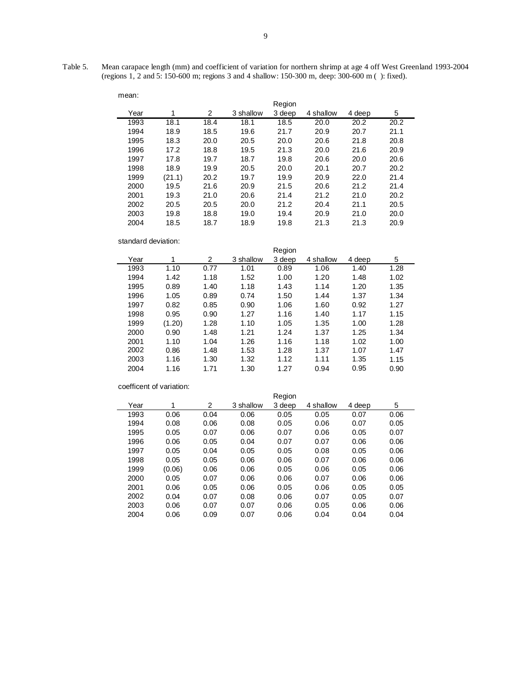Table 5. Mean carapace length (mm) and coefficient of variation for northern shrimp at age 4 off West Greenland 1993-2004 (regions 1, 2 and 5: 150-600 m; regions 3 and 4 shallow: 150-300 m, deep: 300-600 m ( ): fixed).

| mean: |        |      |           |        |           |        |      |
|-------|--------|------|-----------|--------|-----------|--------|------|
|       |        |      |           | Region |           |        |      |
| Year  | 1      | 2    | 3 shallow | 3 deep | 4 shallow | 4 deep | 5    |
| 1993  | 18.1   | 18.4 | 18.1      | 18.5   | 20.0      | 20.2   | 20.2 |
| 1994  | 18.9   | 18.5 | 19.6      | 21.7   | 20.9      | 20.7   | 21.1 |
| 1995  | 18.3   | 20.0 | 20.5      | 20.0   | 20.6      | 21.8   | 20.8 |
| 1996  | 17.2   | 18.8 | 19.5      | 21.3   | 20.0      | 21.6   | 20.9 |
| 1997  | 17.8   | 19.7 | 18.7      | 19.8   | 20.6      | 20.0   | 20.6 |
| 1998  | 18.9   | 19.9 | 20.5      | 20.0   | 20.1      | 20.7   | 20.2 |
| 1999  | (21.1) | 20.2 | 19.7      | 19.9   | 20.9      | 22.0   | 21.4 |
| 2000  | 19.5   | 21.6 | 20.9      | 21.5   | 20.6      | 21.2   | 21.4 |
| 2001  | 19.3   | 21.0 | 20.6      | 21.4   | 21.2      | 21.0   | 20.2 |
| 2002  | 20.5   | 20.5 | 20.0      | 21.2   | 20.4      | 21.1   | 20.5 |
| 2003  | 19.8   | 18.8 | 19.0      | 19.4   | 20.9      | 21.0   | 20.0 |
| 2004  | 18.5   | 18.7 | 18.9      | 19.8   | 21.3      | 21.3   | 20.9 |

|      |        |      |           | Region |           |        |      |
|------|--------|------|-----------|--------|-----------|--------|------|
| Year | 1      | 2    | 3 shallow | 3 deep | 4 shallow | 4 deep | 5    |
| 1993 | 1.10   | 0.77 | 1.01      | 0.89   | 1.06      | 1.40   | 1.28 |
| 1994 | 1.42   | 1.18 | 1.52      | 1.00   | 1.20      | 1.48   | 1.02 |
| 1995 | 0.89   | 1.40 | 1.18      | 1.43   | 1.14      | 1.20   | 1.35 |
| 1996 | 1.05   | 0.89 | 0.74      | 1.50   | 1.44      | 1.37   | 1.34 |
| 1997 | 0.82   | 0.85 | 0.90      | 1.06   | 1.60      | 0.92   | 1.27 |
| 1998 | 0.95   | 0.90 | 1.27      | 1.16   | 1.40      | 1.17   | 1.15 |
| 1999 | (1.20) | 1.28 | 1.10      | 1.05   | 1.35      | 1.00   | 1.28 |
| 2000 | 0.90   | 1.48 | 1.21      | 1.24   | 1.37      | 1.25   | 1.34 |
| 2001 | 1.10   | 1.04 | 1.26      | 1.16   | 1.18      | 1.02   | 1.00 |
| 2002 | 0.86   | 1.48 | 1.53      | 1.28   | 1.37      | 1.07   | 1.47 |
| 2003 | 1.16   | 1.30 | 1.32      | 1.12   | 1.11      | 1.35   | 1.15 |
| 2004 | 1.16   | 1.71 | 1.30      | 1.27   | 0.94      | 0.95   | 0.90 |
|      |        |      |           |        |           |        |      |

|      |        |      |           | Region |           |        |      |
|------|--------|------|-----------|--------|-----------|--------|------|
| Year | 1      | 2    | 3 shallow | 3 deep | 4 shallow | 4 deep | 5    |
| 1993 | 0.06   | 0.04 | 0.06      | 0.05   | 0.05      | 0.07   | 0.06 |
| 1994 | 0.08   | 0.06 | 0.08      | 0.05   | 0.06      | 0.07   | 0.05 |
| 1995 | 0.05   | 0.07 | 0.06      | 0.07   | 0.06      | 0.05   | 0.07 |
| 1996 | 0.06   | 0.05 | 0.04      | 0.07   | 0.07      | 0.06   | 0.06 |
| 1997 | 0.05   | 0.04 | 0.05      | 0.05   | 0.08      | 0.05   | 0.06 |
| 1998 | 0.05   | 0.05 | 0.06      | 0.06   | 0.07      | 0.06   | 0.06 |
| 1999 | (0.06) | 0.06 | 0.06      | 0.05   | 0.06      | 0.05   | 0.06 |
| 2000 | 0.05   | 0.07 | 0.06      | 0.06   | 0.07      | 0.06   | 0.06 |
| 2001 | 0.06   | 0.05 | 0.06      | 0.05   | 0.06      | 0.05   | 0.05 |
| 2002 | 0.04   | 0.07 | 0.08      | 0.06   | 0.07      | 0.05   | 0.07 |
| 2003 | 0.06   | 0.07 | 0.07      | 0.06   | 0.05      | 0.06   | 0.06 |
| 2004 | 0.06   | 0.09 | 0.07      | 0.06   | 0.04      | 0.04   | 0.04 |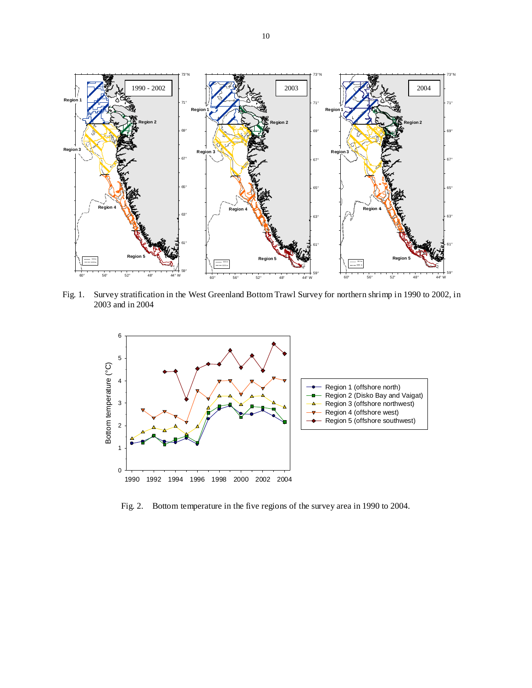

Fig. 1. Survey stratification in the West Greenland Bottom Trawl Survey for northern shrimp in 1990 to 2002, in 2003 and in 2004



Fig. 2. Bottom temperature in the five regions of the survey area in 1990 to 2004.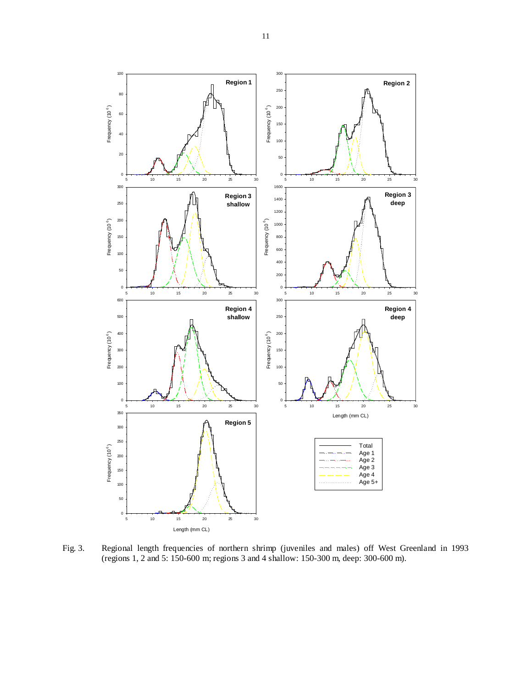

Fig. 3. Regional length frequencies of northern shrimp (juveniles and males) off West Greenland in 1993 (regions 1, 2 and 5: 150-600 m; regions 3 and 4 shallow: 150-300 m, deep: 300-600 m).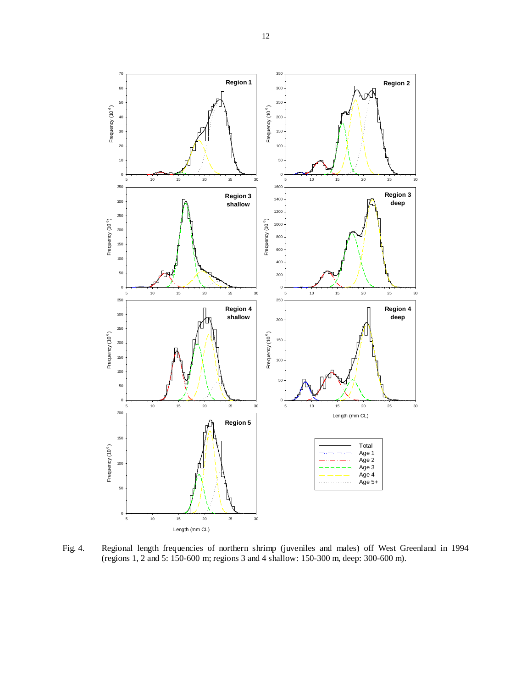

Fig. 4. Regional length frequencies of northern shrimp (juveniles and males) off West Greenland in 1994 (regions 1, 2 and 5: 150-600 m; regions 3 and 4 shallow: 150-300 m, deep: 300-600 m).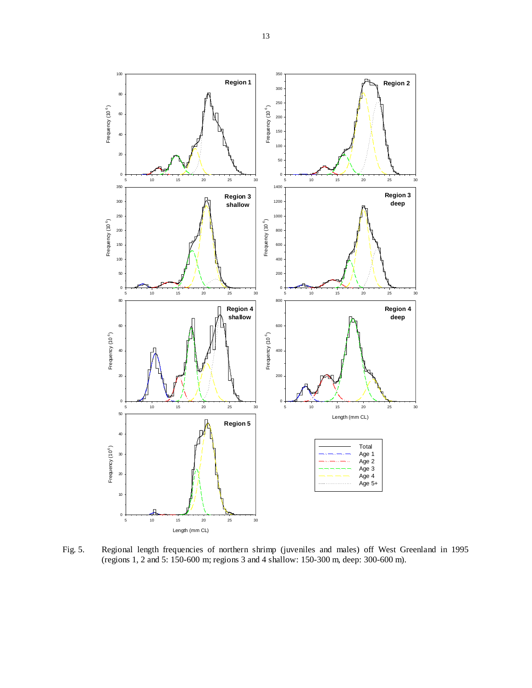

Fig. 5. Regional length frequencies of northern shrimp (juveniles and males) off West Greenland in 1995 (regions 1, 2 and 5: 150-600 m; regions 3 and 4 shallow: 150-300 m, deep: 300-600 m).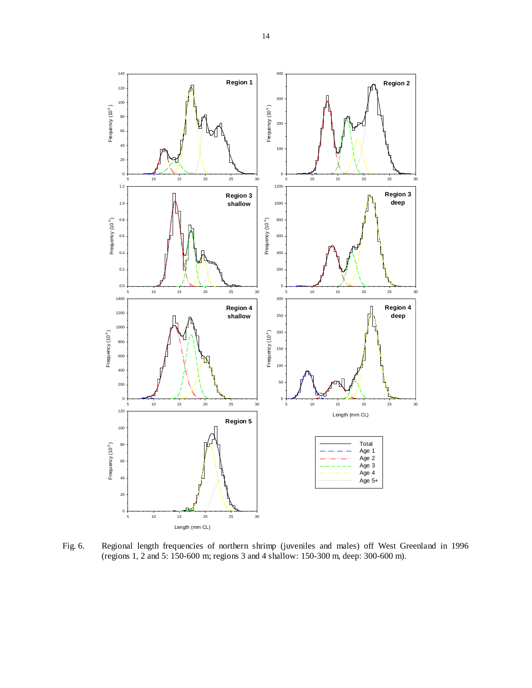

Fig. 6. Regional length frequencies of northern shrimp (juveniles and males) off West Greenland in 1996 (regions 1, 2 and 5: 150-600 m; regions 3 and 4 shallow: 150-300 m, deep: 300-600 m).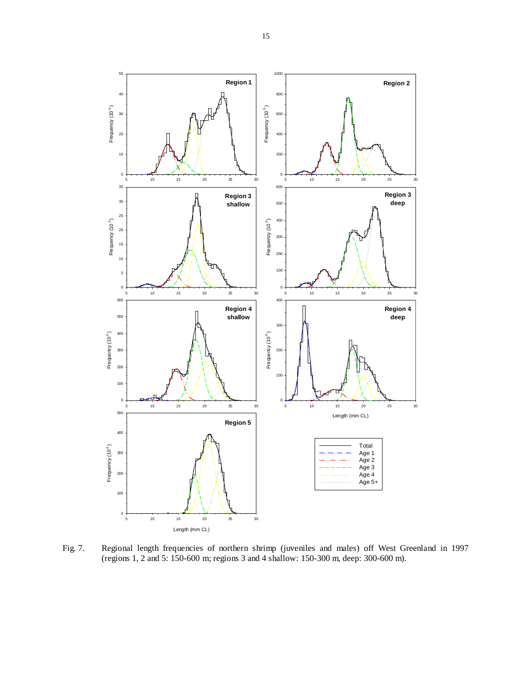

Fig. 7. Regional length frequencies of northern shrimp (juveniles and males) off West Greenland in 1997 (regions 1, 2 and 5: 150-600 m; regions 3 and 4 shallow: 150-300 m, deep: 300-600 m).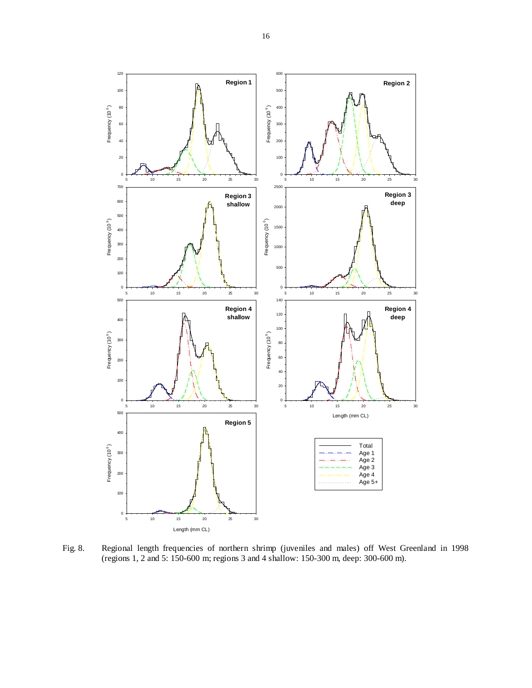

Fig. 8. Regional length frequencies of northern shrimp (juveniles and males) off West Greenland in 1998 (regions 1, 2 and 5: 150-600 m; regions 3 and 4 shallow: 150-300 m, deep: 300-600 m).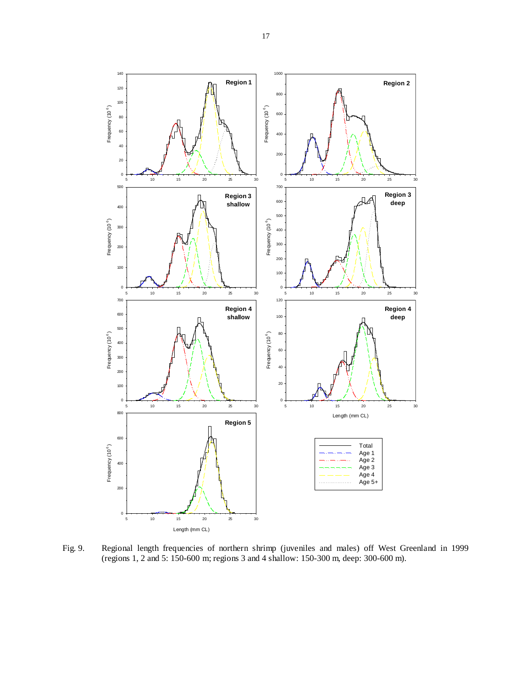

Fig. 9. Regional length frequencies of northern shrimp (juveniles and males) off West Greenland in 1999 (regions 1, 2 and 5: 150-600 m; regions 3 and 4 shallow: 150-300 m, deep: 300-600 m).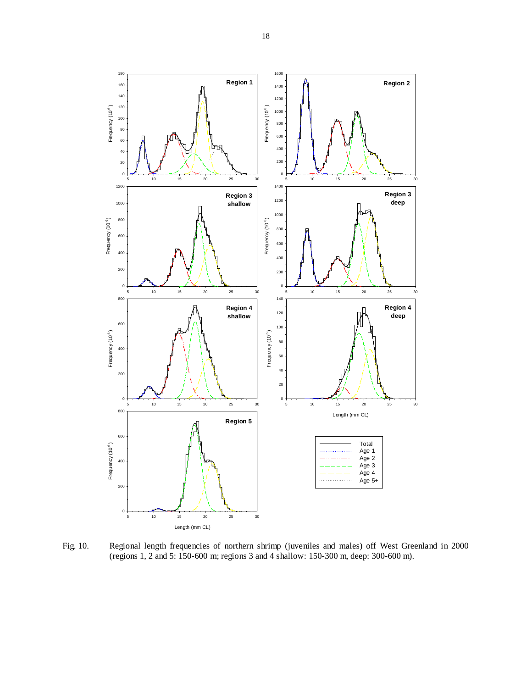

Fig. 10. Regional length frequencies of northern shrimp (juveniles and males) off West Greenland in 2000 (regions 1, 2 and 5: 150-600 m; regions 3 and 4 shallow: 150-300 m, deep: 300-600 m).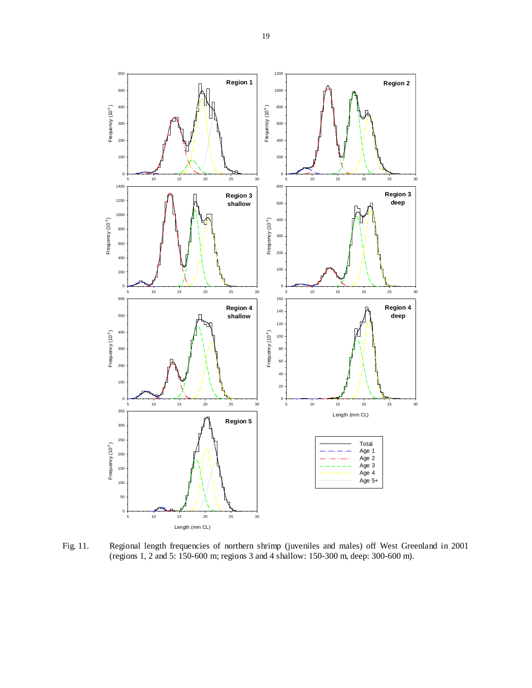

Fig. 11. Regional length frequencies of northern shrimp (juveniles and males) off West Greenland in 2001 (regions 1, 2 and 5: 150-600 m; regions 3 and 4 shallow: 150-300 m, deep: 300-600 m).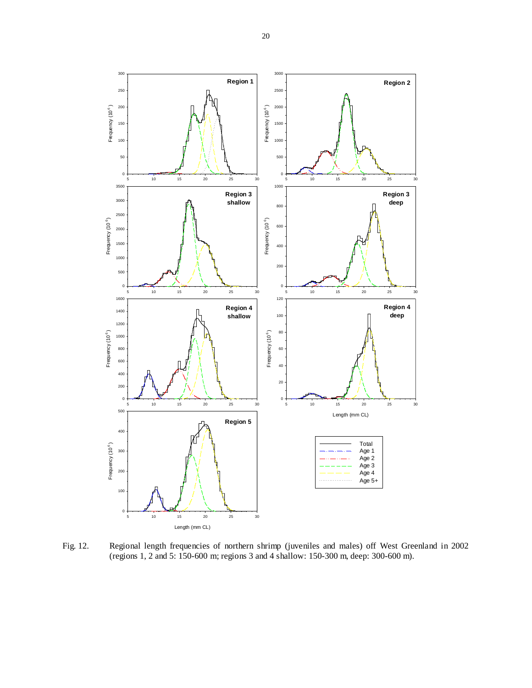

Fig. 12. Regional length frequencies of northern shrimp (juveniles and males) off West Greenland in 2002 (regions 1, 2 and 5: 150-600 m; regions 3 and 4 shallow: 150-300 m, deep: 300-600 m).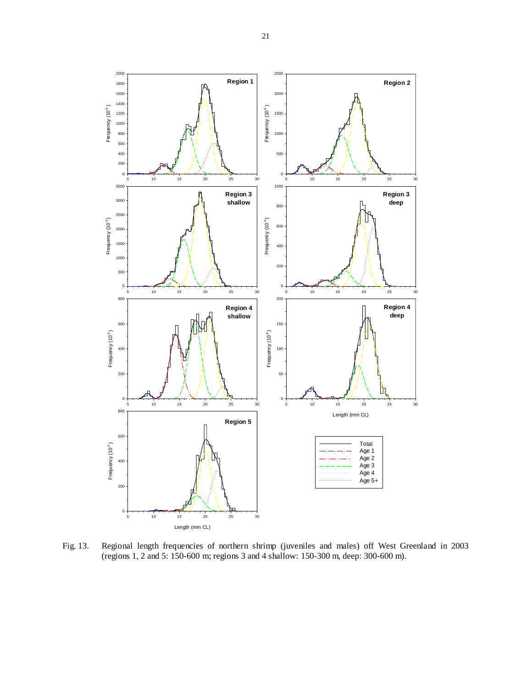

Fig. 13. Regional length frequencies of northern shrimp (juveniles and males) off West Greenland in 2003 (regions 1, 2 and 5: 150-600 m; regions 3 and 4 shallow: 150-300 m, deep: 300-600 m).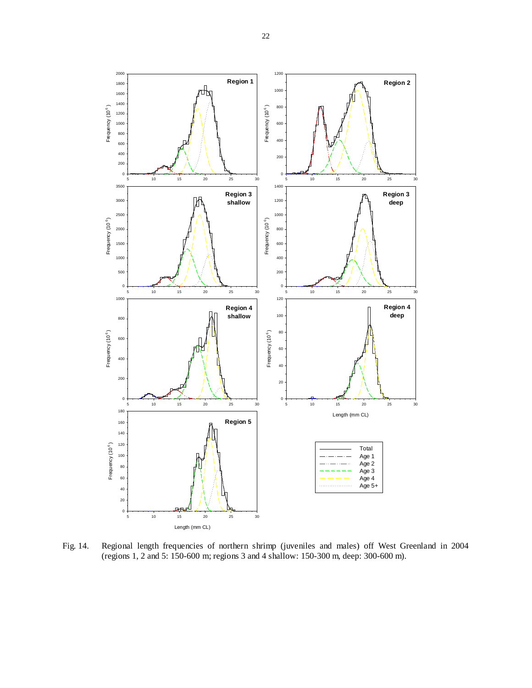

Fig. 14. Regional length frequencies of northern shrimp (juveniles and males) off West Greenland in 2004 (regions 1, 2 and 5: 150-600 m; regions 3 and 4 shallow: 150-300 m, deep: 300-600 m).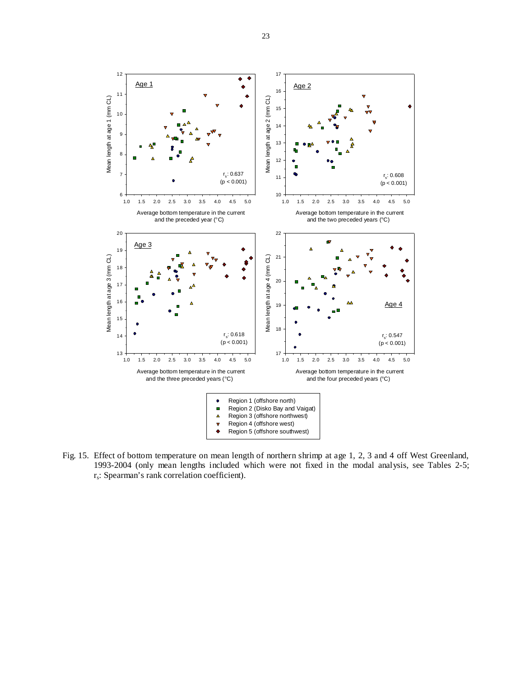

Fig. 15. Effect of bottom temperature on mean length of northern shrimp at age 1, 2, 3 and 4 off West Greenland, 1993-2004 (only mean lengths included which were not fixed in the modal analysis, see Tables 2-5; rs: Spearman's rank correlation coefficient).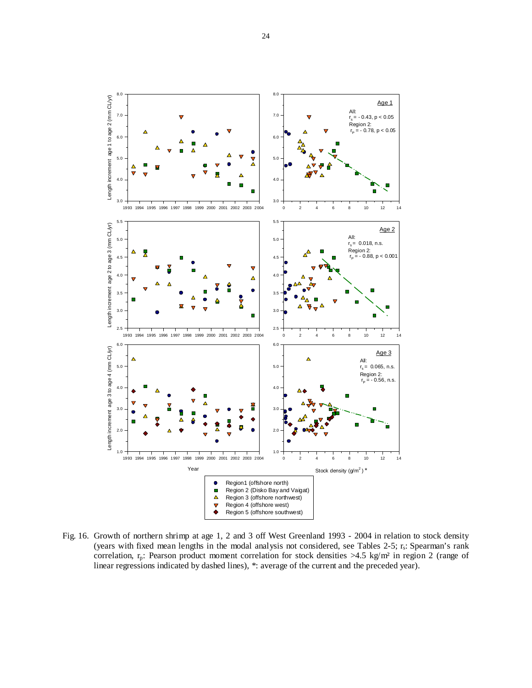

Fig. 16. Growth of northern shrimp at age 1, 2 and 3 off West Greenland 1993 - 2004 in relation to stock density (years with fixed mean lengths in the modal analysis not considered, see Tables 2-5;  $r_s$ : Spearman's rank correlation,  $r_p$ : Pearson product moment correlation for stock densities  $>4.5$  kg/m<sup>2</sup> in region 2 (range of linear regressions indicated by dashed lines), \*: average of the current and the preceded year).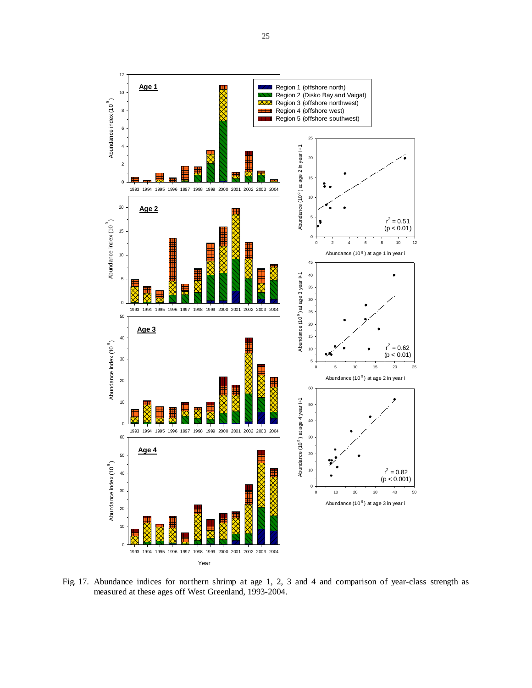

Fig. 17. Abundance indices for northern shrimp at age 1, 2, 3 and 4 and comparison of year-class strength as measured at these ages off West Greenland, 1993-2004.